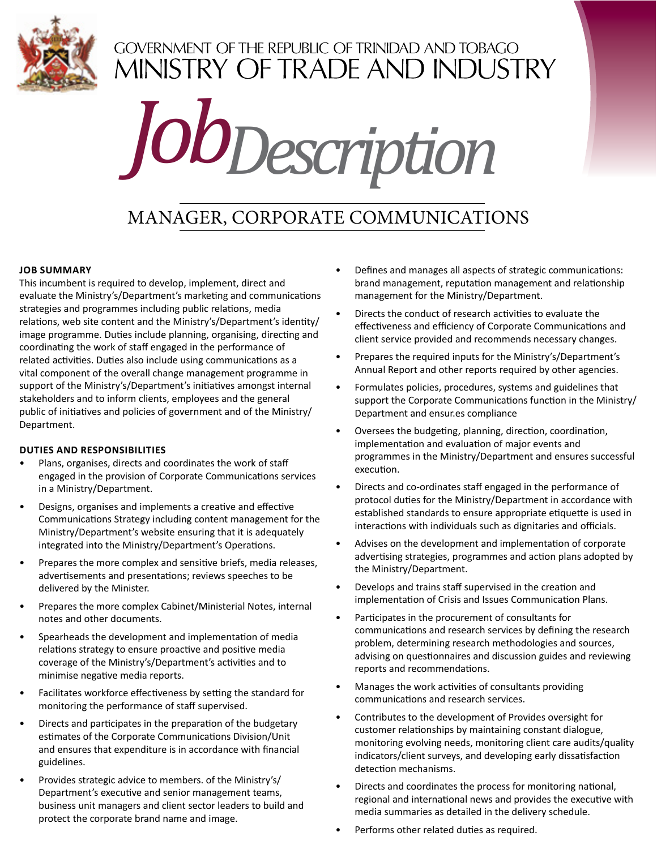

## **GOVERNMENT OF THE REPUBLIC OF TRINIDAD AND TOBAGO** MINISTRY OF TRADE AND INDUSTRY

# *JobDescription*

## Manager, Corporate Communications

#### **Job Summary**

This incumbent is required to develop, implement, direct and evaluate the Ministry's/Department's marketing and communications strategies and programmes including public relations, media relations, web site content and the Ministry's/Department's identity/ image programme. Duties include planning, organising, directing and coordinating the work of staff engaged in the performance of related activities. Duties also include using communications as a vital component of the overall change management programme in support of the Ministry's/Department's initiatives amongst internal stakeholders and to inform clients, employees and the general public of initiatives and policies of government and of the Ministry/ Department.

#### **DUTIES AND RESPONSIBILITIES**

- Plans, organises, directs and coordinates the work of staff engaged in the provision of Corporate Communications services in a Ministry/Department.
- Designs, organises and implements a creative and effective Communications Strategy including content management for the Ministry/Department's website ensuring that it is adequately integrated into the Ministry/Department's Operations.
- Prepares the more complex and sensitive briefs, media releases, advertisements and presentations; reviews speeches to be delivered by the Minister.
- Prepares the more complex Cabinet/Ministerial Notes, internal notes and other documents.
- Spearheads the development and implementation of media relations strategy to ensure proactive and positive media coverage of the Ministry's/Department's activities and to minimise negative media reports.
- Facilitates workforce effectiveness by setting the standard for monitoring the performance of staff supervised.
- Directs and participates in the preparation of the budgetary estimates of the Corporate Communications Division/Unit and ensures that expenditure is in accordance with financial guidelines.
- Provides strategic advice to members. of the Ministry's/ Department's executive and senior management teams, business unit managers and client sector leaders to build and protect the corporate brand name and image.
- Defines and manages all aspects of strategic communications: brand management, reputation management and relationship management for the Ministry/Department.
- Directs the conduct of research activities to evaluate the effectiveness and efficiency of Corporate Communications and client service provided and recommends necessary changes.
- Prepares the required inputs for the Ministry's/Department's Annual Report and other reports required by other agencies.
- Formulates policies, procedures, systems and guidelines that support the Corporate Communications function in the Ministry/ Department and ensur.es compliance
- Oversees the budgeting, planning, direction, coordination, implementation and evaluation of major events and programmes in the Ministry/Department and ensures successful execution.
- Directs and co-ordinates staff engaged in the performance of protocol duties for the Ministry/Department in accordance with established standards to ensure appropriate etiquette is used in interactions with individuals such as dignitaries and officials.
- Advises on the development and implementation of corporate advertising strategies, programmes and action plans adopted by the Ministry/Department.
- Develops and trains staff supervised in the creation and implementation of Crisis and Issues Communication Plans.
- Participates in the procurement of consultants for communications and research services by defining the research problem, determining research methodologies and sources, advising on questionnaires and discussion guides and reviewing reports and recommendations.
- Manages the work activities of consultants providing communications and research services.
- Contributes to the development of Provides oversight for customer relationships by maintaining constant dialogue, monitoring evolving needs, monitoring client care audits/quality indicators/client surveys, and developing early dissatisfaction detection mechanisms.
- Directs and coordinates the process for monitoring national, regional and international news and provides the executive with media summaries as detailed in the delivery schedule.
- Performs other related duties as required.